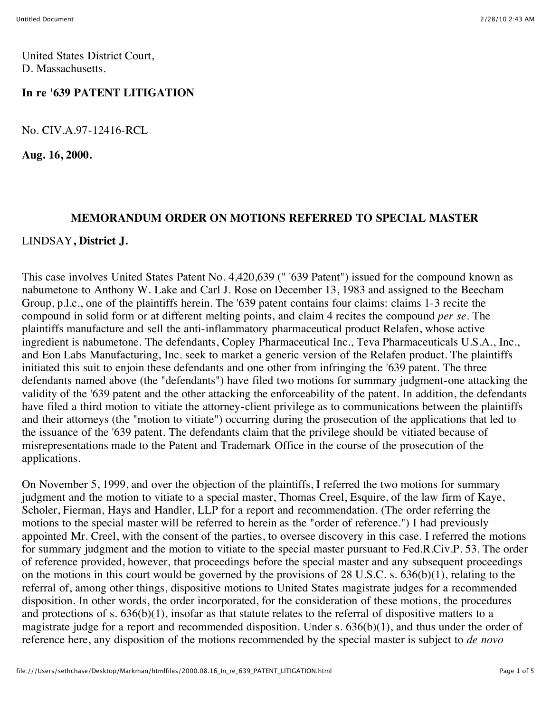United States District Court, D. Massachusetts.

### **In re '639 PATENT LITIGATION**

No. CIV.A.97-12416-RCL

**Aug. 16, 2000.**

#### **MEMORANDUM ORDER ON MOTIONS REFERRED TO SPECIAL MASTER**

#### LINDSAY**, District J.**

This case involves United States Patent No. 4,420,639 (" '639 Patent") issued for the compound known as nabumetone to Anthony W. Lake and Carl J. Rose on December 13, 1983 and assigned to the Beecham Group, p.l.c., one of the plaintiffs herein. The '639 patent contains four claims: claims 1-3 recite the compound in solid form or at different melting points, and claim 4 recites the compound *per se.* The plaintiffs manufacture and sell the anti-inflammatory pharmaceutical product Relafen, whose active ingredient is nabumetone. The defendants, Copley Pharmaceutical Inc., Teva Pharmaceuticals U.S.A., Inc., and Eon Labs Manufacturing, Inc. seek to market a generic version of the Relafen product. The plaintiffs initiated this suit to enjoin these defendants and one other from infringing the '639 patent. The three defendants named above (the "defendants") have filed two motions for summary judgment-one attacking the validity of the '639 patent and the other attacking the enforceability of the patent. In addition, the defendants have filed a third motion to vitiate the attorney-client privilege as to communications between the plaintiffs and their attorneys (the "motion to vitiate") occurring during the prosecution of the applications that led to the issuance of the '639 patent. The defendants claim that the privilege should be vitiated because of misrepresentations made to the Patent and Trademark Office in the course of the prosecution of the applications.

On November 5, 1999, and over the objection of the plaintiffs, I referred the two motions for summary judgment and the motion to vitiate to a special master, Thomas Creel, Esquire, of the law firm of Kaye, Scholer, Fierman, Hays and Handler, LLP for a report and recommendation. (The order referring the motions to the special master will be referred to herein as the "order of reference.") I had previously appointed Mr. Creel, with the consent of the parties, to oversee discovery in this case. I referred the motions for summary judgment and the motion to vitiate to the special master pursuant to Fed.R.Civ.P. 53. The order of reference provided, however, that proceedings before the special master and any subsequent proceedings on the motions in this court would be governed by the provisions of 28 U.S.C. s. 636(b)(1), relating to the referral of, among other things, dispositive motions to United States magistrate judges for a recommended disposition. In other words, the order incorporated, for the consideration of these motions, the procedures and protections of s. 636(b)(1), insofar as that statute relates to the referral of dispositive matters to a magistrate judge for a report and recommended disposition. Under s. 636(b)(1), and thus under the order of reference here, any disposition of the motions recommended by the special master is subject to *de novo*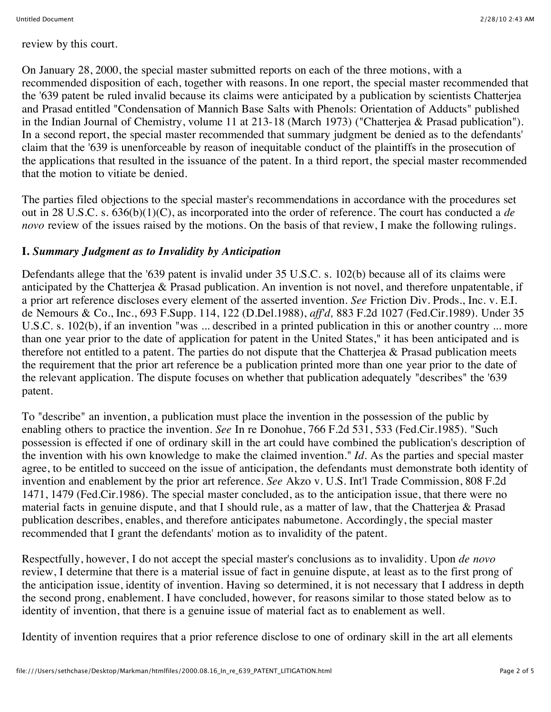review by this court.

On January 28, 2000, the special master submitted reports on each of the three motions, with a recommended disposition of each, together with reasons. In one report, the special master recommended that the '639 patent be ruled invalid because its claims were anticipated by a publication by scientists Chatterjea and Prasad entitled "Condensation of Mannich Base Salts with Phenols: Orientation of Adducts" published in the Indian Journal of Chemistry, volume 11 at 213-18 (March 1973) ("Chatterjea & Prasad publication"). In a second report, the special master recommended that summary judgment be denied as to the defendants' claim that the '639 is unenforceable by reason of inequitable conduct of the plaintiffs in the prosecution of the applications that resulted in the issuance of the patent. In a third report, the special master recommended that the motion to vitiate be denied.

The parties filed objections to the special master's recommendations in accordance with the procedures set out in 28 U.S.C. s. 636(b)(1)(C), as incorporated into the order of reference. The court has conducted a *de novo* review of the issues raised by the motions. On the basis of that review, I make the following rulings.

# **I.** *Summary Judgment as to Invalidity by Anticipation*

Defendants allege that the '639 patent is invalid under 35 U.S.C. s. 102(b) because all of its claims were anticipated by the Chatterjea & Prasad publication. An invention is not novel, and therefore unpatentable, if a prior art reference discloses every element of the asserted invention. *See* Friction Div. Prods., Inc. v. E.I. de Nemours & Co., Inc., 693 F.Supp. 114, 122 (D.Del.1988), *aff'd,* 883 F.2d 1027 (Fed.Cir.1989). Under 35 U.S.C. s. 102(b), if an invention "was ... described in a printed publication in this or another country ... more than one year prior to the date of application for patent in the United States," it has been anticipated and is therefore not entitled to a patent. The parties do not dispute that the Chatterjea  $\&$  Prasad publication meets the requirement that the prior art reference be a publication printed more than one year prior to the date of the relevant application. The dispute focuses on whether that publication adequately "describes" the '639 patent.

To "describe" an invention, a publication must place the invention in the possession of the public by enabling others to practice the invention. *See* In re Donohue, 766 F.2d 531, 533 (Fed.Cir.1985). "Such possession is effected if one of ordinary skill in the art could have combined the publication's description of the invention with his own knowledge to make the claimed invention." *Id.* As the parties and special master agree, to be entitled to succeed on the issue of anticipation, the defendants must demonstrate both identity of invention and enablement by the prior art reference. *See* Akzo v. U.S. Int'l Trade Commission, 808 F.2d 1471, 1479 (Fed.Cir.1986). The special master concluded, as to the anticipation issue, that there were no material facts in genuine dispute, and that I should rule, as a matter of law, that the Chatterjea & Prasad publication describes, enables, and therefore anticipates nabumetone. Accordingly, the special master recommended that I grant the defendants' motion as to invalidity of the patent.

Respectfully, however, I do not accept the special master's conclusions as to invalidity. Upon *de novo* review, I determine that there is a material issue of fact in genuine dispute, at least as to the first prong of the anticipation issue, identity of invention. Having so determined, it is not necessary that I address in depth the second prong, enablement. I have concluded, however, for reasons similar to those stated below as to identity of invention, that there is a genuine issue of material fact as to enablement as well.

Identity of invention requires that a prior reference disclose to one of ordinary skill in the art all elements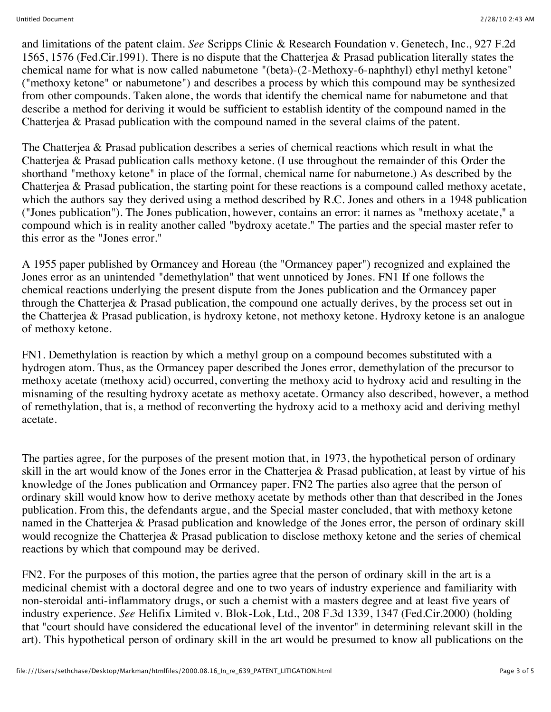and limitations of the patent claim. *See* Scripps Clinic & Research Foundation v. Genetech, Inc., 927 F.2d 1565, 1576 (Fed.Cir.1991). There is no dispute that the Chatterjea & Prasad publication literally states the chemical name for what is now called nabumetone "(beta)-(2-Methoxy-6-naphthyl) ethyl methyl ketone" ("methoxy ketone" or nabumetone") and describes a process by which this compound may be synthesized from other compounds. Taken alone, the words that identify the chemical name for nabumetone and that describe a method for deriving it would be sufficient to establish identity of the compound named in the Chatterjea & Prasad publication with the compound named in the several claims of the patent.

The Chatterjea & Prasad publication describes a series of chemical reactions which result in what the Chatterjea & Prasad publication calls methoxy ketone. (I use throughout the remainder of this Order the shorthand "methoxy ketone" in place of the formal, chemical name for nabumetone.) As described by the Chatterjea & Prasad publication, the starting point for these reactions is a compound called methoxy acetate, which the authors say they derived using a method described by R.C. Jones and others in a 1948 publication ("Jones publication"). The Jones publication, however, contains an error: it names as "methoxy acetate," a compound which is in reality another called "bydroxy acetate." The parties and the special master refer to this error as the "Jones error."

A 1955 paper published by Ormancey and Horeau (the "Ormancey paper") recognized and explained the Jones error as an unintended "demethylation" that went unnoticed by Jones. FN1 If one follows the chemical reactions underlying the present dispute from the Jones publication and the Ormancey paper through the Chatterjea & Prasad publication, the compound one actually derives, by the process set out in the Chatterjea & Prasad publication, is hydroxy ketone, not methoxy ketone. Hydroxy ketone is an analogue of methoxy ketone.

FN1. Demethylation is reaction by which a methyl group on a compound becomes substituted with a hydrogen atom. Thus, as the Ormancey paper described the Jones error, demethylation of the precursor to methoxy acetate (methoxy acid) occurred, converting the methoxy acid to hydroxy acid and resulting in the misnaming of the resulting hydroxy acetate as methoxy acetate. Ormancy also described, however, a method of remethylation, that is, a method of reconverting the hydroxy acid to a methoxy acid and deriving methyl acetate.

The parties agree, for the purposes of the present motion that, in 1973, the hypothetical person of ordinary skill in the art would know of the Jones error in the Chatterjea & Prasad publication, at least by virtue of his knowledge of the Jones publication and Ormancey paper. FN2 The parties also agree that the person of ordinary skill would know how to derive methoxy acetate by methods other than that described in the Jones publication. From this, the defendants argue, and the Special master concluded, that with methoxy ketone named in the Chatterjea & Prasad publication and knowledge of the Jones error, the person of ordinary skill would recognize the Chatterjea & Prasad publication to disclose methoxy ketone and the series of chemical reactions by which that compound may be derived.

FN2. For the purposes of this motion, the parties agree that the person of ordinary skill in the art is a medicinal chemist with a doctoral degree and one to two years of industry experience and familiarity with non-steroidal anti-inflammatory drugs, or such a chemist with a masters degree and at least five years of industry experience. *See* Helifix Limited v. Blok-Lok, Ltd., 208 F.3d 1339, 1347 (Fed.Cir.2000) (holding that "court should have considered the educational level of the inventor" in determining relevant skill in the art). This hypothetical person of ordinary skill in the art would be presumed to know all publications on the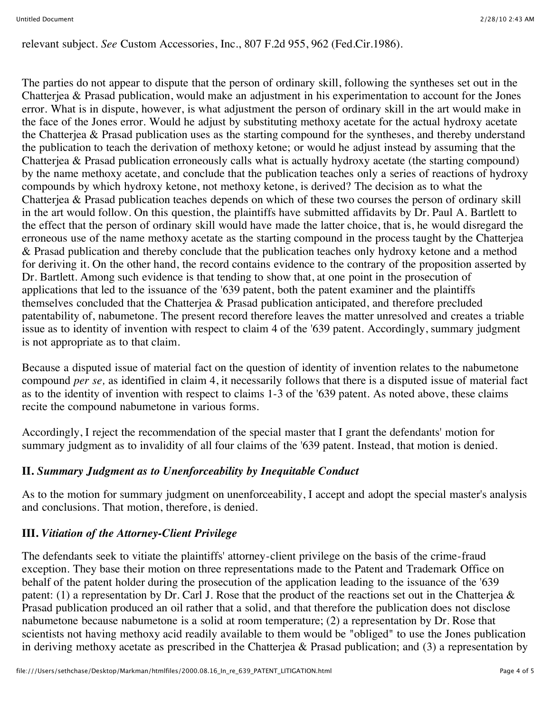relevant subject. *See* Custom Accessories, Inc., 807 F.2d 955, 962 (Fed.Cir.1986).

The parties do not appear to dispute that the person of ordinary skill, following the syntheses set out in the Chatterjea & Prasad publication, would make an adjustment in his experimentation to account for the Jones error. What is in dispute, however, is what adjustment the person of ordinary skill in the art would make in the face of the Jones error. Would he adjust by substituting methoxy acetate for the actual hydroxy acetate the Chatterjea & Prasad publication uses as the starting compound for the syntheses, and thereby understand the publication to teach the derivation of methoxy ketone; or would he adjust instead by assuming that the Chatterjea & Prasad publication erroneously calls what is actually hydroxy acetate (the starting compound) by the name methoxy acetate, and conclude that the publication teaches only a series of reactions of hydroxy compounds by which hydroxy ketone, not methoxy ketone, is derived? The decision as to what the Chatterjea & Prasad publication teaches depends on which of these two courses the person of ordinary skill in the art would follow. On this question, the plaintiffs have submitted affidavits by Dr. Paul A. Bartlett to the effect that the person of ordinary skill would have made the latter choice, that is, he would disregard the erroneous use of the name methoxy acetate as the starting compound in the process taught by the Chatterjea & Prasad publication and thereby conclude that the publication teaches only hydroxy ketone and a method for deriving it. On the other hand, the record contains evidence to the contrary of the proposition asserted by Dr. Bartlett. Among such evidence is that tending to show that, at one point in the prosecution of applications that led to the issuance of the '639 patent, both the patent examiner and the plaintiffs themselves concluded that the Chatterjea & Prasad publication anticipated, and therefore precluded patentability of, nabumetone. The present record therefore leaves the matter unresolved and creates a triable issue as to identity of invention with respect to claim 4 of the '639 patent. Accordingly, summary judgment is not appropriate as to that claim.

Because a disputed issue of material fact on the question of identity of invention relates to the nabumetone compound *per se,* as identified in claim 4, it necessarily follows that there is a disputed issue of material fact as to the identity of invention with respect to claims 1-3 of the '639 patent. As noted above, these claims recite the compound nabumetone in various forms.

Accordingly, I reject the recommendation of the special master that I grant the defendants' motion for summary judgment as to invalidity of all four claims of the '639 patent. Instead, that motion is denied.

## **II.** *Summary Judgment as to Unenforceability by Inequitable Conduct*

As to the motion for summary judgment on unenforceability, I accept and adopt the special master's analysis and conclusions. That motion, therefore, is denied.

# **III.** *Vitiation of the Attorney-Client Privilege*

The defendants seek to vitiate the plaintiffs' attorney-client privilege on the basis of the crime-fraud exception. They base their motion on three representations made to the Patent and Trademark Office on behalf of the patent holder during the prosecution of the application leading to the issuance of the '639 patent: (1) a representation by Dr. Carl J. Rose that the product of the reactions set out in the Chatterjea & Prasad publication produced an oil rather that a solid, and that therefore the publication does not disclose nabumetone because nabumetone is a solid at room temperature; (2) a representation by Dr. Rose that scientists not having methoxy acid readily available to them would be "obliged" to use the Jones publication in deriving methoxy acetate as prescribed in the Chatterjea & Prasad publication; and (3) a representation by